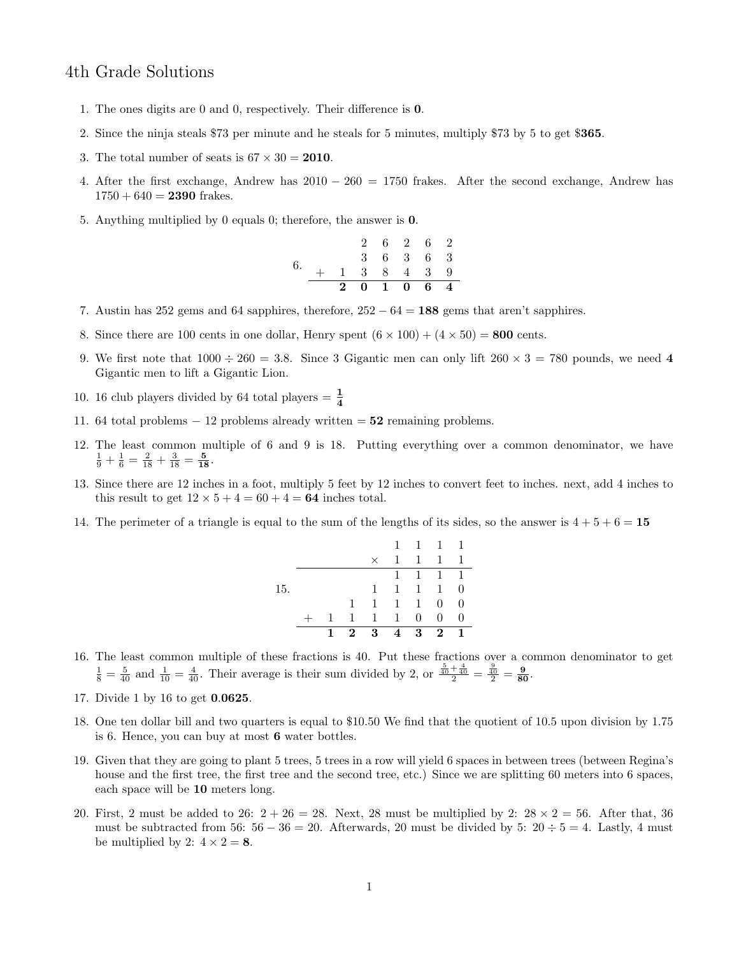## 4th Grade Solutions

- 1. The ones digits are 0 and 0, respectively. Their difference is 0.
- 2. Since the ninja steals \$73 per minute and he steals for 5 minutes, multiply \$73 by 5 to get \$365.
- 3. The total number of seats is  $67 \times 30 = 2010$ .
- 4. After the first exchange, Andrew has  $2010 260 = 1750$  frakes. After the second exchange, Andrew has  $1750 + 640 = 2390$  frakes.
- 5. Anything multiplied by 0 equals 0; therefore, the answer is 0.

$$
\begin{array}{ccccccccc}\n & & 2 & 6 & 2 & 6 & 2 \\
 & & 3 & 6 & 3 & 6 & 3 \\
 & & + & 1 & 3 & 8 & 4 & 3 & 9 \\
\hline\n & 2 & 0 & 1 & 0 & 6 & 4\n\end{array}
$$

- 7. Austin has 252 gems and 64 sapphires, therefore,  $252 64 = 188$  gems that aren't sapphires.
- 8. Since there are 100 cents in one dollar, Henry spent  $(6 \times 100) + (4 \times 50) = 800$  cents.
- 9. We first note that  $1000 \div 260 = 3.8$ . Since 3 Gigantic men can only lift  $260 \times 3 = 780$  pounds, we need 4 Gigantic men to lift a Gigantic Lion.
- 10. 16 club players divided by 64 total players  $=\frac{1}{4}$
- 11. 64 total problems  $-12$  problems already written  $= 52$  remaining problems.
- 12. The least common multiple of 6 and 9 is 18. Putting everything over a common denominator, we have  $\frac{1}{9} + \frac{1}{6} = \frac{2}{18} + \frac{3}{18} = \frac{5}{18}.$
- 13. Since there are 12 inches in a foot, multiply 5 feet by 12 inches to convert feet to inches. next, add 4 inches to this result to get  $12 \times 5 + 4 = 60 + 4 = 64$  inches total.
- 14. The perimeter of a triangle is equal to the sum of the lengths of its sides, so the answer is  $4 + 5 + 6 = 15$

|     | 1 | $2^{\circ}$  | 3            | 4              | 3            | $\mathbf{2}$        | 1                        |
|-----|---|--------------|--------------|----------------|--------------|---------------------|--------------------------|
|     |   | $\mathbf{1}$ | $\mathbf{1}$ | $\overline{1}$ | 0            | $\theta$            | $\Omega$                 |
|     |   | $\mathbf{1}$ | $\mathbf{1}$ | $\mathbf{1}$   | $\mathbf{1}$ | 0                   | 0                        |
| 15. |   |              | $\mathbf{1}$ | $\mathbf{1}$   | $\mathbf{1}$ | $\mathbf{1}$        | 0                        |
|     |   |              |              | $\mathbf{1}$   |              | $1 \quad 1 \quad 1$ |                          |
|     |   |              | $\times$     | $\mathbf{1}$   | $\mathbf{1}$ | 1                   |                          |
|     |   |              |              | $\mathbf{1}$   |              | 1 1                 | $\overline{\phantom{0}}$ |

- 16. The least common multiple of these fractions is 40. Put these fractions over a common denominator to get  $\frac{1}{8} = \frac{5}{40}$  and  $\frac{1}{10} = \frac{4}{40}$ . Their average is their sum divided by 2, or  $\frac{\frac{5}{40} + \frac{4}{40}}{2} = \frac{\frac{9}{40}}{2} = \frac{9}{80}$ .
- 17. Divide 1 by 16 to get 0.0625.
- 18. One ten dollar bill and two quarters is equal to \$10.50 We find that the quotient of 10.5 upon division by 1.75 is 6. Hence, you can buy at most 6 water bottles.
- 19. Given that they are going to plant 5 trees, 5 trees in a row will yield 6 spaces in between trees (between Regina's house and the first tree, the first tree and the second tree, etc.) Since we are splitting 60 meters into 6 spaces, each space will be 10 meters long.
- 20. First, 2 must be added to 26:  $2 + 26 = 28$ . Next, 28 must be multiplied by 2:  $28 \times 2 = 56$ . After that, 36 must be subtracted from 56:  $56 - 36 = 20$ . Afterwards, 20 must be divided by 5:  $20 \div 5 = 4$ . Lastly, 4 must be multiplied by 2:  $4 \times 2 = 8$ .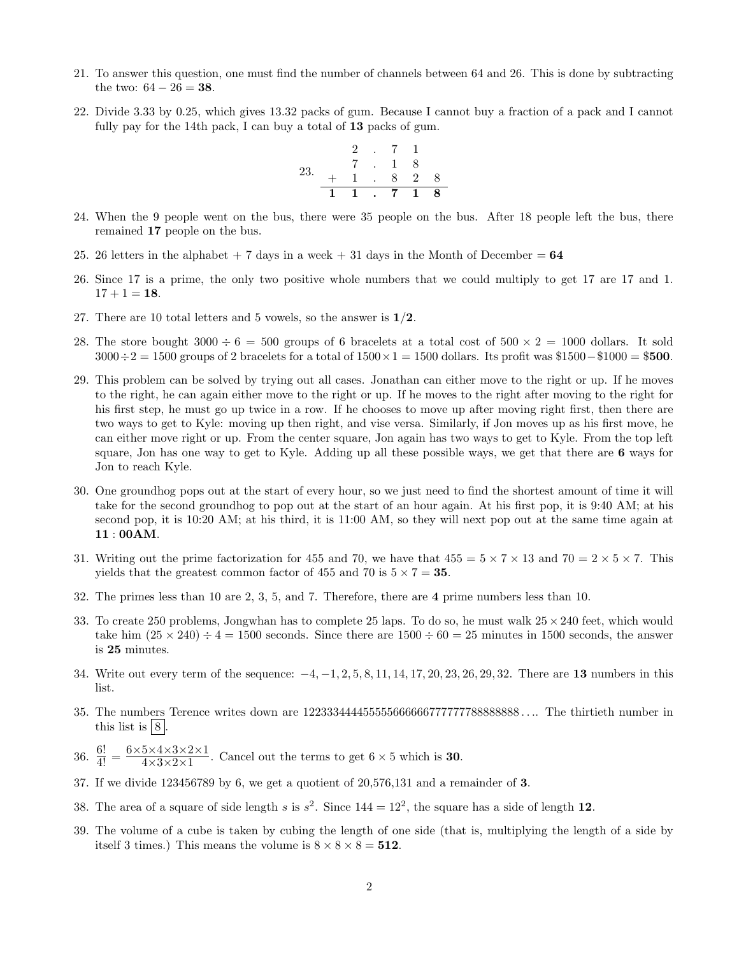- 21. To answer this question, one must find the number of channels between 64 and 26. This is done by subtracting the two:  $64 - 26 = 38$ .
- 22. Divide 3.33 by 0.25, which gives 13.32 packs of gum. Because I cannot buy a fraction of a pack and I cannot fully pay for the 14th pack, I can buy a total of 13 packs of gum.



- 24. When the 9 people went on the bus, there were 35 people on the bus. After 18 people left the bus, there remained 17 people on the bus.
- 25. 26 letters in the alphabet  $+7$  days in a week  $+31$  days in the Month of December = 64
- 26. Since 17 is a prime, the only two positive whole numbers that we could multiply to get 17 are 17 and 1.  $17 + 1 = 18.$
- 27. There are 10 total letters and 5 vowels, so the answer is  $1/2$ .
- 28. The store bought  $3000 \div 6 = 500$  groups of 6 bracelets at a total cost of  $500 \times 2 = 1000$  dollars. It sold  $3000 \div 2 = 1500$  groups of 2 bracelets for a total of  $1500 \times 1 = 1500$  dollars. Its profit was \$1500 - \$1000 = \$500.
- 29. This problem can be solved by trying out all cases. Jonathan can either move to the right or up. If he moves to the right, he can again either move to the right or up. If he moves to the right after moving to the right for his first step, he must go up twice in a row. If he chooses to move up after moving right first, then there are two ways to get to Kyle: moving up then right, and vise versa. Similarly, if Jon moves up as his first move, he can either move right or up. From the center square, Jon again has two ways to get to Kyle. From the top left square, Jon has one way to get to Kyle. Adding up all these possible ways, we get that there are 6 ways for Jon to reach Kyle.
- 30. One groundhog pops out at the start of every hour, so we just need to find the shortest amount of time it will take for the second groundhog to pop out at the start of an hour again. At his first pop, it is 9:40 AM; at his second pop, it is 10:20 AM; at his third, it is 11:00 AM, so they will next pop out at the same time again at 11 : 00AM.
- 31. Writing out the prime factorization for 455 and 70, we have that  $455 = 5 \times 7 \times 13$  and  $70 = 2 \times 5 \times 7$ . This yields that the greatest common factor of 455 and 70 is  $5 \times 7 = 35$ .
- 32. The primes less than 10 are 2, 3, 5, and 7. Therefore, there are 4 prime numbers less than 10.
- 33. To create 250 problems, Jongwhan has to complete 25 laps. To do so, he must walk  $25 \times 240$  feet, which would take him  $(25 \times 240) \div 4 = 1500$  seconds. Since there are  $1500 \div 60 = 25$  minutes in 1500 seconds, the answer is 25 minutes.
- 34. Write out every term of the sequence: −4, −1, 2, 5, 8, 11, 14, 17, 20, 23, 26, 29, 32. There are 13 numbers in this list.
- 35. The numbers Terence writes down are 122333444455555666666777777788888888 . . .. The thirtieth number in this list is  $|8|$ .
- 36.  $\frac{6!}{4!} = \frac{6 \times 5 \times 4 \times 3 \times 2 \times 1}{4 \times 3 \times 2 \times 1}$  $\frac{3\times4\times3\times2\times1}{4\times3\times2\times1}$ . Cancel out the terms to get 6  $\times$  5 which is **30**.
- 37. If we divide 123456789 by 6, we get a quotient of 20,576,131 and a remainder of 3.
- 38. The area of a square of side length s is  $s^2$ . Since  $144 = 12^2$ , the square has a side of length 12.
- 39. The volume of a cube is taken by cubing the length of one side (that is, multiplying the length of a side by itself 3 times.) This means the volume is  $8 \times 8 \times 8 = 512$ .